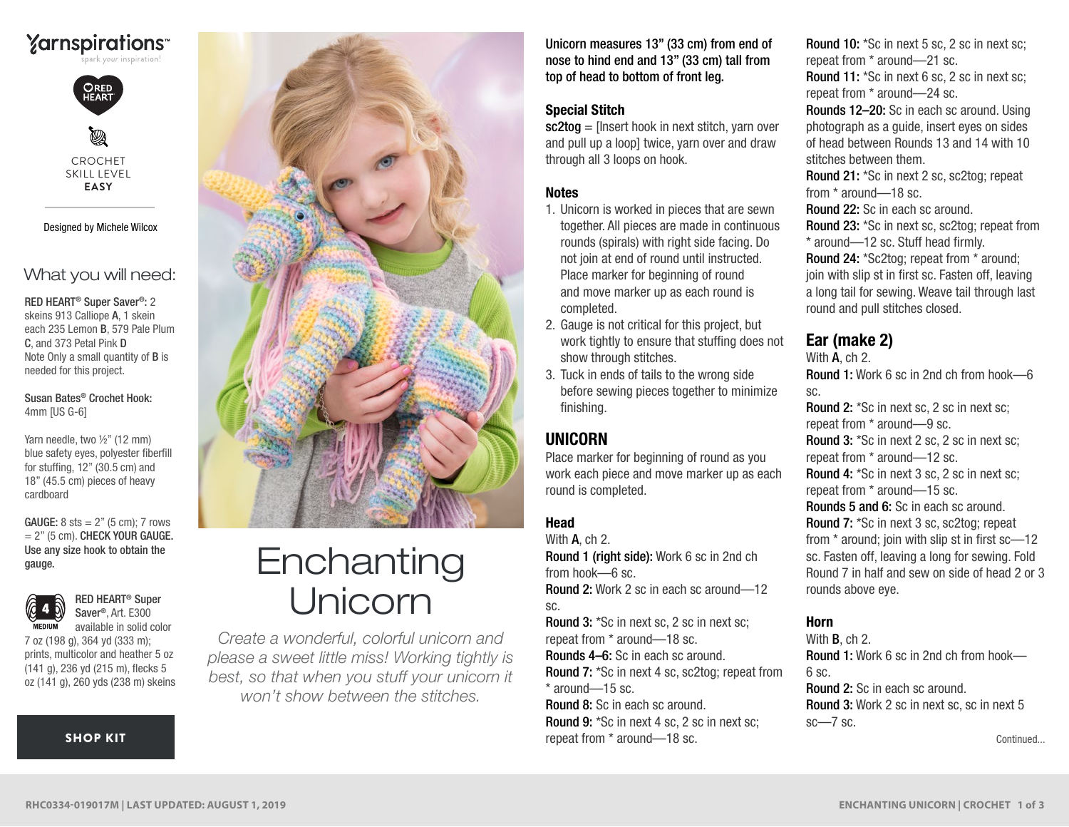# **Yarnspirations**



Ø CROCHET SKILL LEVEL **EASY**

Designed by Michele Wilcox

## What you will need:

RED HEART® Super Saver®: 2 skeins 913 Calliope A, 1 skein each 235 Lemon B, 579 Pale Plum C, and 373 Petal Pink D Note Only a small quantity of B is needed for this project.

Susan Bates® Crochet Hook: 4mm [US G-6]

Yarn needle, two ½" (12 mm) blue safety eyes, polyester fiberfill for stuffing, 12" (30.5 cm) and 18" (45.5 cm) pieces of heavy cardboard

 $= 2$ " (5 cm). CHECK YOUR GAUGE. Use any size hook to obtain the gauge. GAUGE:  $8$  sts  $= 2$ " (5 cm): 7 rows



RED HEART® Super Saver®, Art. E300 available in solid color

7 oz (198 g), 364 yd (333 m); prints, multicolor and heather 5 oz (141 g), 236 yd (215 m), flecks 5 oz (141 g), 260 yds (238 m) skeins

#### [SHOP KIT](https://www.yarnspirations.com/red-heart-enchanting-unicorn/RHC0334-019017M.html#utm_source=pdf-yarnspirations&utm_medium=referral&utm_campaign=pdf-RHC0334-019017M)



# **Enchanting** Unicorn

*Create a wonderful, colorful unicorn and please a sweet little miss! Working tightly is best, so that when you stuff your unicorn it won't show between the stitches.*

Unicorn measures 13" (33 cm) from end of nose to hind end and 13" (33 cm) tall from top of head to bottom of front leg.

#### Special Stitch

sc2tog = [Insert hook in next stitch, yarn over and pull up a loop] twice, yarn over and draw through all 3 loops on hook.

#### **Notes**

- 1. Unicorn is worked in pieces that are sewn together. All pieces are made in continuous rounds (spirals) with right side facing. Do not join at end of round until instructed. Place marker for beginning of round and move marker up as each round is completed.
- 2. Gauge is not critical for this project, but work tightly to ensure that stuffing does not show through stitches.
- 3. Tuck in ends of tails to the wrong side before sewing pieces together to minimize finishing.

# UNICORN

Place marker for beginning of round as you work each piece and move marker up as each round is completed.

#### Head

With **A**, ch 2. Round 1 (right side): Work 6 sc in 2nd ch from hook—6 sc. Round 2: Work 2 sc in each sc around—12

sc.

Round 3: \*Sc in next sc, 2 sc in next sc; repeat from \* around—18 sc. Rounds 4–6: Sc in each sc around. Round 7: \*Sc in next 4 sc, sc2tog; repeat from \* around—15 sc.

Round 8: Sc in each sc around. Round 9: \*Sc in next 4 sc, 2 sc in next sc; repeat from \* around—18 sc.

Round 10: \*Sc in next 5 sc, 2 sc in next sc; repeat from \* around—21 sc. Round 11: \*Sc in next 6 sc, 2 sc in next sc; repeat from \* around—24 sc. Rounds 12–20: Sc in each sc around. Using photograph as a guide, insert eyes on sides of head between Rounds 13 and 14 with 10 stitches between them. Round 21: \*Sc in next 2 sc, sc2tog; repeat from \* around—18 sc. Round 22: Sc in each sc around. Round 23: \*Sc in next sc, sc2tog; repeat from \* around—12 sc. Stuff head firmly. Round 24: \*Sc2tog; repeat from \* around; join with slip st in first sc. Fasten off, leaving a long tail for sewing. Weave tail through last round and pull stitches closed.

# Ear (make 2)

With A, ch 2. Round 1: Work 6 sc in 2nd ch from hook—6 sc. Round 2: \*Sc in next sc, 2 sc in next sc; repeat from \* around—9 sc. Round 3: \*Sc in next 2 sc, 2 sc in next sc; repeat from \* around—12 sc. Round 4: \*Sc in next 3 sc, 2 sc in next sc; repeat from \* around—15 sc. Rounds 5 and 6: Sc in each sc around. Round 7: \*Sc in next 3 sc, sc2tog; repeat from \* around; join with slip st in first sc—12 sc. Fasten off, leaving a long for sewing. Fold Round 7 in half and sew on side of head 2 or 3 rounds above eye.

#### Horn

With B, ch 2. Round 1: Work 6 sc in 2nd ch from hook— 6 sc. Round 2: Sc in each sc around. Round 3: Work 2 sc in next sc, sc in next 5  $sc$  –7 sc.

Continued...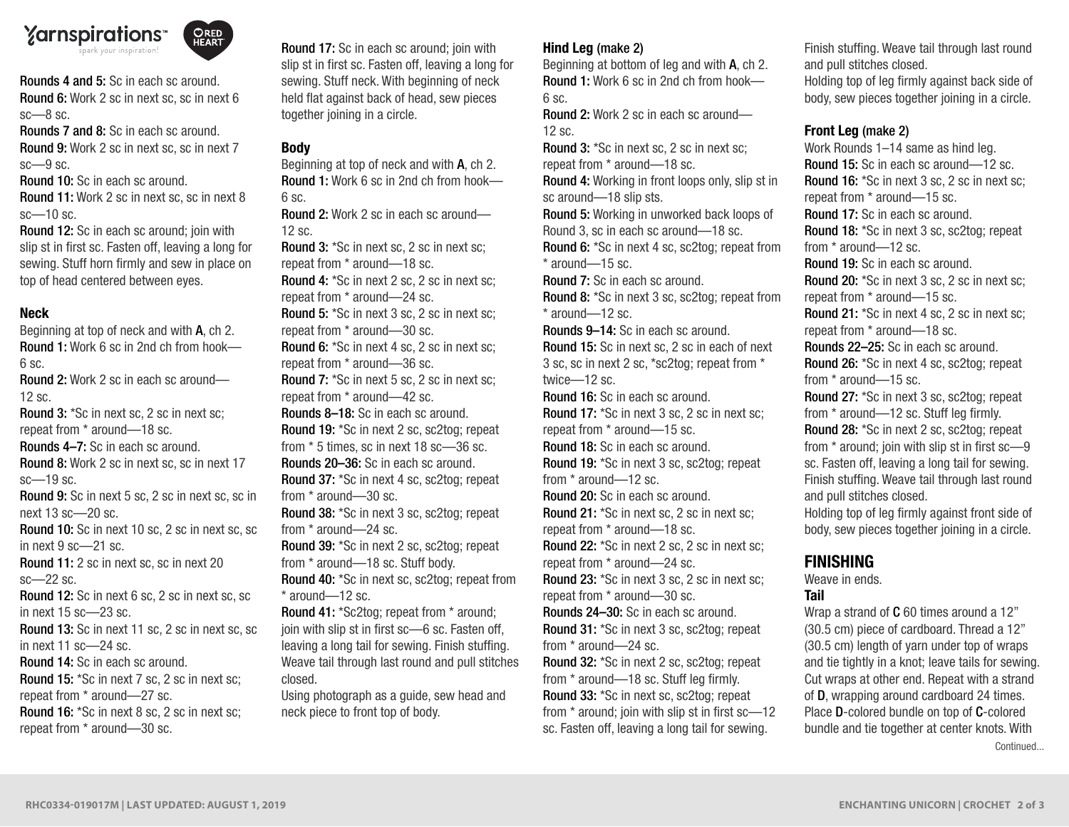

**ORED**<br>HEART

Rounds 4 and 5: Sc in each sc around. Round 6: Work 2 sc in next sc, sc in next 6 sc—8 sc.

Rounds 7 and 8: Sc in each sc around. Round 9: Work 2 sc in next sc, sc in next 7 sc—9 sc.

Round 10: Sc in each sc around.

Round 11: Work 2 sc in next sc, sc in next 8 sc—10 sc.

Round 12: Sc in each sc around; join with slip st in first sc. Fasten off, leaving a long for sewing. Stuff horn firmly and sew in place on top of head centered between eyes.

#### Neck

Beginning at top of neck and with A, ch 2. Round 1: Work 6 sc in 2nd ch from hook— 6 sc. Round 2: Work 2 sc in each sc around— 12 sc. Round 3: \*Sc in next sc, 2 sc in next sc; repeat from \* around—18 sc. Rounds 4–7: Sc in each sc around. Round 8: Work 2 sc in next sc, sc in next 17 sc—19 sc. Round 9: Sc in next 5 sc, 2 sc in next sc, sc in next 13 sc—20 sc. Round 10: Sc in next 10 sc, 2 sc in next sc, sc in next 9 sc—21 sc. Round 11: 2 sc in next sc, sc in next 20 sc—22 sc. Round 12: Sc in next 6 sc, 2 sc in next sc, sc in next 15 sc—23 sc. Round 13: Sc in next 11 sc, 2 sc in next sc, sc in next 11 sc—24 sc. Round 14: Sc in each sc around. Round 15: \*Sc in next 7 sc, 2 sc in next sc; repeat from \* around—27 sc. Round 16: \*Sc in next 8 sc, 2 sc in next sc; repeat from \* around—30 sc.

Round 17: Sc in each sc around; join with slip st in first sc. Fasten off, leaving a long for sewing. Stuff neck. With beginning of neck held flat against back of head, sew pieces together joining in a circle.

### Body

Beginning at top of neck and with A, ch 2. Round 1: Work 6 sc in 2nd ch from hook—  $6$  sc. Round 2: Work 2 sc in each sc around—

12 sc.

Round 3: \*Sc in next sc, 2 sc in next sc; repeat from \* around—18 sc. Round 4: \*Sc in next 2 sc, 2 sc in next sc; repeat from \* around—24 sc. Round 5: \*Sc in next 3 sc, 2 sc in next sc; repeat from \* around—30 sc. Round 6: \*Sc in next 4 sc, 2 sc in next sc; repeat from \* around—36 sc. Round 7: \*Sc in next 5 sc, 2 sc in next sc; repeat from \* around—42 sc. Rounds 8–18: Sc in each sc around. Round 19: \*Sc in next 2 sc, sc2tog; repeat from \* 5 times, sc in next 18 sc—36 sc. Rounds 20–36: Sc in each sc around. Round 37: \*Sc in next 4 sc, sc2tog; repeat from \* around—30 sc. Round 38: \*Sc in next 3 sc, sc2tog; repeat

from \* around—24 sc. Round 39: \*Sc in next 2 sc, sc2tog; repeat from \* around—18 sc. Stuff body.

Round 40: \*Sc in next sc, sc2tog; repeat from \* around—12 sc.

Round 41: \*Sc2tog; repeat from \* around; join with slip st in first sc—6 sc. Fasten off, leaving a long tail for sewing. Finish stuffing. Weave tail through last round and pull stitches closed.

Using photograph as a guide, sew head and neck piece to front top of body.

#### Hind Leg (make 2)

Beginning at bottom of leg and with A, ch 2. Round 1: Work 6 sc in 2nd ch from hook— 6 sc.

Round 2: Work 2 sc in each sc around—  $12$  sc.

Round 3: \*Sc in next sc, 2 sc in next sc; repeat from \* around—18 sc. Round 4: Working in front loops only, slip st in

sc around—18 slip sts.

Round 5: Working in unworked back loops of Round 3, sc in each sc around—18 sc. Round 6: \*Sc in next 4 sc, sc2tog; repeat from

\* around—15 sc. Round 7: Sc in each sc around.

Round 8: \*Sc in next 3 sc, sc2tog; repeat from \* around—12 sc.

Rounds 9–14: Sc in each sc around. Round 15: Sc in next sc, 2 sc in each of next 3 sc, sc in next 2 sc, \*sc2tog; repeat from \* twice—12 sc.

Round 16: Sc in each sc around. Round 17: \*Sc in next 3 sc, 2 sc in next sc; repeat from \* around—15 sc.

Round 18: Sc in each sc around.

Round 19: \*Sc in next 3 sc, sc2tog; repeat from \* around—12 sc.

Round 20: Sc in each sc around. Round 21: \*Sc in next sc, 2 sc in next sc; repeat from \* around—18 sc.

Round 22: \*Sc in next 2 sc, 2 sc in next sc; repeat from \* around—24 sc.

Round 23: \*Sc in next 3 sc, 2 sc in next sc; repeat from \* around—30 sc.

Rounds 24–30: Sc in each sc around. Round 31: \*Sc in next 3 sc, sc2tog; repeat from \* around—24 sc.

Round 32: \*Sc in next 2 sc, sc2tog; repeat from \* around—18 sc. Stuff leg firmly. Round 33: \*Sc in next sc, sc2tog; repeat from \* around; join with slip st in first sc—12 sc. Fasten off, leaving a long tail for sewing.

Finish stuffing. Weave tail through last round and pull stitches closed.

Holding top of leg firmly against back side of body, sew pieces together joining in a circle.

# Front Leg (make 2)

Work Rounds 1–14 same as hind leg. Round 15: Sc in each sc around—12 sc. Round 16: \*Sc in next 3 sc, 2 sc in next sc; repeat from \* around—15 sc. Round 17: Sc in each sc around. Round 18: \*Sc in next 3 sc, sc2tog; repeat from \* around—12 sc. Round 19: Sc in each sc around. Round 20: \*Sc in next 3 sc, 2 sc in next sc; repeat from \* around—15 sc. Round 21: \*Sc in next 4 sc, 2 sc in next sc; repeat from \* around—18 sc. Rounds 22–25: Sc in each sc around. Round 26: \*Sc in next 4 sc, sc2tog; repeat from \* around—15 sc. Round 27: \*Sc in next 3 sc, sc2tog; repeat from \* around—12 sc. Stuff leg firmly. Round 28: \*Sc in next 2 sc, sc2tog; repeat from \* around; join with slip st in first sc—9 sc. Fasten off, leaving a long tail for sewing. Finish stuffing. Weave tail through last round and pull stitches closed. Holding top of leg firmly against front side of body, sew pieces together joining in a circle.

# FINISHING

Weave in ends.

#### Tail

Continued... Wrap a strand of C 60 times around a 12" (30.5 cm) piece of cardboard. Thread a 12" (30.5 cm) length of yarn under top of wraps and tie tightly in a knot; leave tails for sewing. Cut wraps at other end. Repeat with a strand of D, wrapping around cardboard 24 times. Place D-colored bundle on top of C-colored bundle and tie together at center knots. With